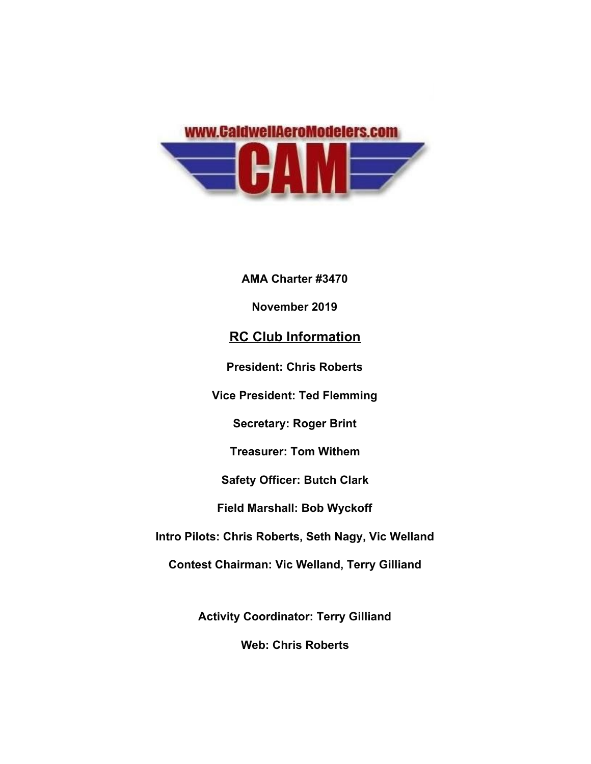

**AMA Charter #3470 November 2019 RC Club Information President: Chris Roberts Vice President: Ted Flemming Secretary: Roger Brint Treasurer: Tom Withem Safety Officer: Butch Clark Field Marshall: Bob Wyckoff Intro Pilots: Chris Roberts, Seth Nagy, Vic Welland Contest Chairman: Vic Welland, Terry Gilliand**

**Activity Coordinator: Terry Gilliand**

**Web: Chris Roberts**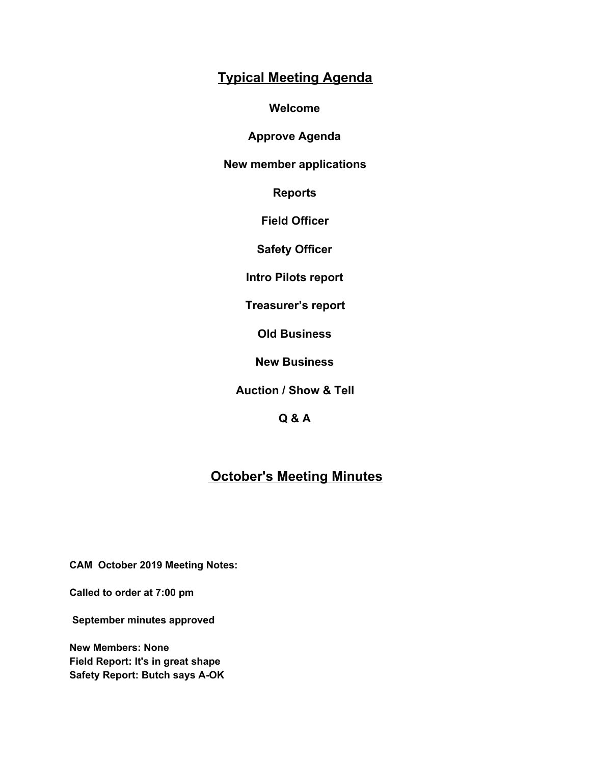## **Typical Meeting Agenda**

**Welcome**

**Approve Agenda**

**New member applications**

**Reports**

**Field Officer**

**Safety Officer**

**Intro Pilots report**

**Treasurer's report**

**Old Business**

**New Business**

**Auction / Show & Tell**

**Q & A**

## **October's Meeting Minutes**

**CAM October 2019 Meeting Notes:**

**Called to order at 7:00 pm**

 **September minutes approved**

**New Members: None Field Report: It's in great shape Safety Report: Butch says A-OK**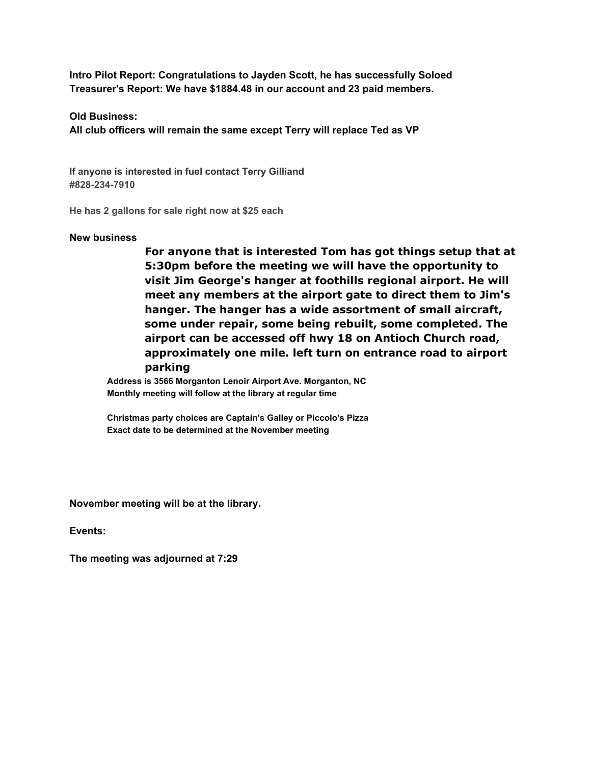**Intro Pilot Report: Congratulations to Jayden Scott, he has successfully Soloed Treasurer's Report: We have \$1884.48 in our account and 23 paid members.**

**Old Business:**

**All club officers will remain the same except Terry will replace Ted as VP**

**If anyone is interested in fuel contact Terry Gilliand #828-234-7910**

**He has 2 gallons for sale right now at \$25 each**

## **New business**

**For anyone that is interested Tom has got things setup that at 5:30pm before the meeting we will have the opportunity to visit Jim George's hanger at foothills regional airport. He will meet any members at the airport gate to direct them to Jim's hanger. The hanger has a wide assortment of small aircraft, some under repair, some being rebuilt, some completed. The airport can be accessed off hwy 18 on Antioch Church road, approximately one mile. left turn on entrance road to airport parking**

**Address is 3566 Morganton Lenoir Airport Ave. Morganton, NC Monthly meeting will follow at the library at regular time**

**Christmas party choices are Captain's Galley or Piccolo's Pizza Exact date to be determined at the November meeting**

**November meeting will be at the library.**

**Events:**

**The meeting was adjourned at 7:29**